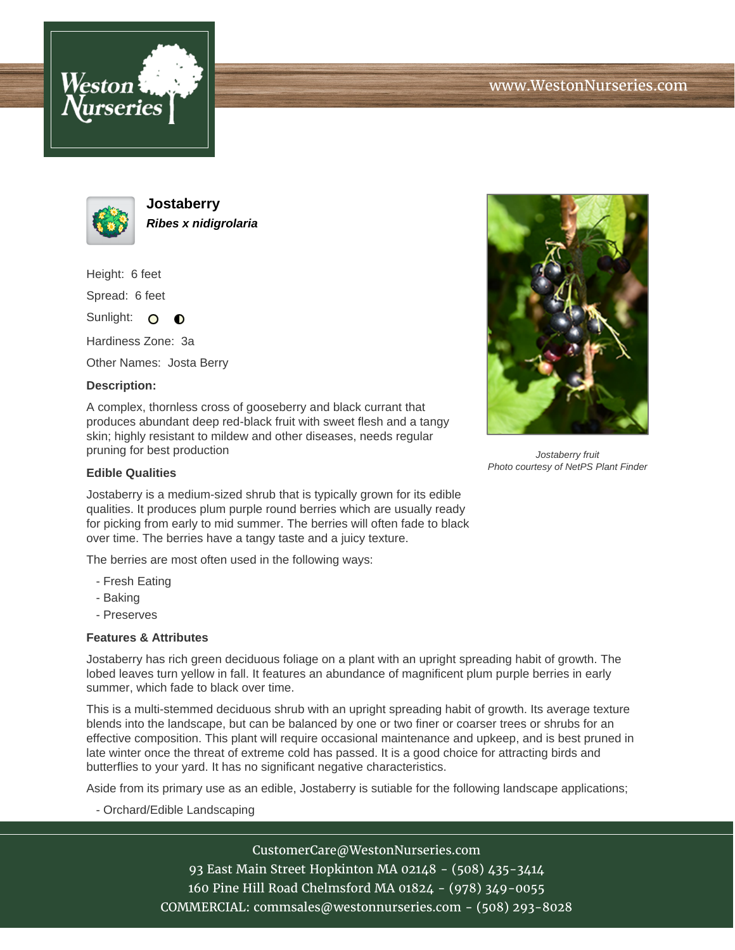



**Jostaberry Ribes x nidigrolaria**

Height: 6 feet

Spread: 6 feet

Sunlight: O  $\bullet$ 

Hardiness Zone: 3a

Other Names: Josta Berry

## **Description:**

A complex, thornless cross of gooseberry and black currant that produces abundant deep red-black fruit with sweet flesh and a tangy skin; highly resistant to mildew and other diseases, needs regular pruning for best production



Jostaberry fruit Photo courtesy of NetPS Plant Finder

## **Edible Qualities**

Jostaberry is a medium-sized shrub that is typically grown for its edible qualities. It produces plum purple round berries which are usually ready for picking from early to mid summer. The berries will often fade to black over time. The berries have a tangy taste and a juicy texture.

The berries are most often used in the following ways:

- Fresh Eating
- Baking
- Preserves

## **Features & Attributes**

Jostaberry has rich green deciduous foliage on a plant with an upright spreading habit of growth. The lobed leaves turn yellow in fall. It features an abundance of magnificent plum purple berries in early summer, which fade to black over time.

This is a multi-stemmed deciduous shrub with an upright spreading habit of growth. Its average texture blends into the landscape, but can be balanced by one or two finer or coarser trees or shrubs for an effective composition. This plant will require occasional maintenance and upkeep, and is best pruned in late winter once the threat of extreme cold has passed. It is a good choice for attracting birds and butterflies to your yard. It has no significant negative characteristics.

Aside from its primary use as an edible, Jostaberry is sutiable for the following landscape applications;

- Orchard/Edible Landscaping

CustomerCare@WestonNurseries.com 93 East Main Street Hopkinton MA 02148 - (508) 435-3414 160 Pine Hill Road Chelmsford MA 01824 - (978) 349-0055 COMMERCIAL: commsales@westonnurseries.com - (508) 293-8028